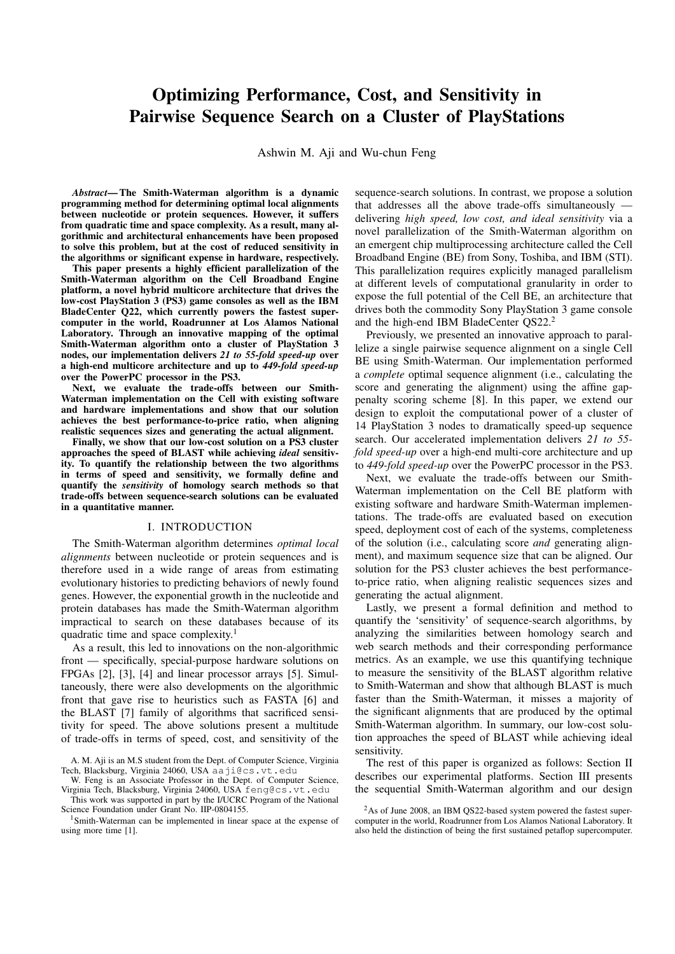# Optimizing Performance, Cost, and Sensitivity in Pairwise Sequence Search on a Cluster of PlayStations

Ashwin M. Aji and Wu-chun Feng

*Abstract*— The Smith-Waterman algorithm is a dynamic programming method for determining optimal local alignments between nucleotide or protein sequences. However, it suffers from quadratic time and space complexity. As a result, many algorithmic and architectural enhancements have been proposed to solve this problem, but at the cost of reduced sensitivity in the algorithms or significant expense in hardware, respectively.

This paper presents a highly efficient parallelization of the Smith-Waterman algorithm on the Cell Broadband Engine platform, a novel hybrid multicore architecture that drives the low-cost PlayStation 3 (PS3) game consoles as well as the IBM BladeCenter Q22, which currently powers the fastest supercomputer in the world, Roadrunner at Los Alamos National Laboratory. Through an innovative mapping of the optimal Smith-Waterman algorithm onto a cluster of PlayStation 3 nodes, our implementation delivers *21 to 55-fold speed-up* over a high-end multicore architecture and up to *449-fold speed-up* over the PowerPC processor in the PS3.

Next, we evaluate the trade-offs between our Smith-Waterman implementation on the Cell with existing software and hardware implementations and show that our solution achieves the best performance-to-price ratio, when aligning realistic sequences sizes and generating the actual alignment.

Finally, we show that our low-cost solution on a PS3 cluster approaches the speed of BLAST while achieving *ideal* sensitivity. To quantify the relationship between the two algorithms in terms of speed and sensitivity, we formally define and quantify the *sensitivity* of homology search methods so that trade-offs between sequence-search solutions can be evaluated in a quantitative manner.

### I. INTRODUCTION

The Smith-Waterman algorithm determines *optimal local alignments* between nucleotide or protein sequences and is therefore used in a wide range of areas from estimating evolutionary histories to predicting behaviors of newly found genes. However, the exponential growth in the nucleotide and protein databases has made the Smith-Waterman algorithm impractical to search on these databases because of its quadratic time and space complexity.<sup>1</sup>

As a result, this led to innovations on the non-algorithmic front — specifically, special-purpose hardware solutions on FPGAs [2], [3], [4] and linear processor arrays [5]. Simultaneously, there were also developments on the algorithmic front that gave rise to heuristics such as FASTA [6] and the BLAST [7] family of algorithms that sacrificed sensitivity for speed. The above solutions present a multitude of trade-offs in terms of speed, cost, and sensitivity of the

sequence-search solutions. In contrast, we propose a solution that addresses all the above trade-offs simultaneously delivering *high speed, low cost, and ideal sensitivity* via a novel parallelization of the Smith-Waterman algorithm on an emergent chip multiprocessing architecture called the Cell Broadband Engine (BE) from Sony, Toshiba, and IBM (STI). This parallelization requires explicitly managed parallelism at different levels of computational granularity in order to expose the full potential of the Cell BE, an architecture that drives both the commodity Sony PlayStation 3 game console and the high-end IBM BladeCenter QS22.<sup>2</sup>

Previously, we presented an innovative approach to parallelize a single pairwise sequence alignment on a single Cell BE using Smith-Waterman. Our implementation performed a *complete* optimal sequence alignment (i.e., calculating the score and generating the alignment) using the affine gappenalty scoring scheme [8]. In this paper, we extend our design to exploit the computational power of a cluster of 14 PlayStation 3 nodes to dramatically speed-up sequence search. Our accelerated implementation delivers *21 to 55 fold speed-up* over a high-end multi-core architecture and up to *449-fold speed-up* over the PowerPC processor in the PS3.

Next, we evaluate the trade-offs between our Smith-Waterman implementation on the Cell BE platform with existing software and hardware Smith-Waterman implementations. The trade-offs are evaluated based on execution speed, deployment cost of each of the systems, completeness of the solution (i.e., calculating score *and* generating alignment), and maximum sequence size that can be aligned. Our solution for the PS3 cluster achieves the best performanceto-price ratio, when aligning realistic sequences sizes and generating the actual alignment.

Lastly, we present a formal definition and method to quantify the 'sensitivity' of sequence-search algorithms, by analyzing the similarities between homology search and web search methods and their corresponding performance metrics. As an example, we use this quantifying technique to measure the sensitivity of the BLAST algorithm relative to Smith-Waterman and show that although BLAST is much faster than the Smith-Waterman, it misses a majority of the significant alignments that are produced by the optimal Smith-Waterman algorithm. In summary, our low-cost solution approaches the speed of BLAST while achieving ideal sensitivity.

The rest of this paper is organized as follows: Section II describes our experimental platforms. Section III presents the sequential Smith-Waterman algorithm and our design

A. M. Aji is an M.S student from the Dept. of Computer Science, Virginia Tech, Blacksburg, Virginia 24060, USA aaji@cs.vt.edu

W. Feng is an Associate Professor in the Dept. of Computer Science, Virginia Tech, Blacksburg, Virginia 24060, USA feng@cs.vt.edu This work was supported in part by the I/UCRC Program of the National

Science Foundation under Grant No. IIP-0804155.

<sup>1</sup>Smith-Waterman can be implemented in linear space at the expense of using more time [1].

<sup>&</sup>lt;sup>2</sup>As of June 2008, an IBM QS22-based system powered the fastest supercomputer in the world, Roadrunner from Los Alamos National Laboratory. It also held the distinction of being the first sustained petaflop supercomputer.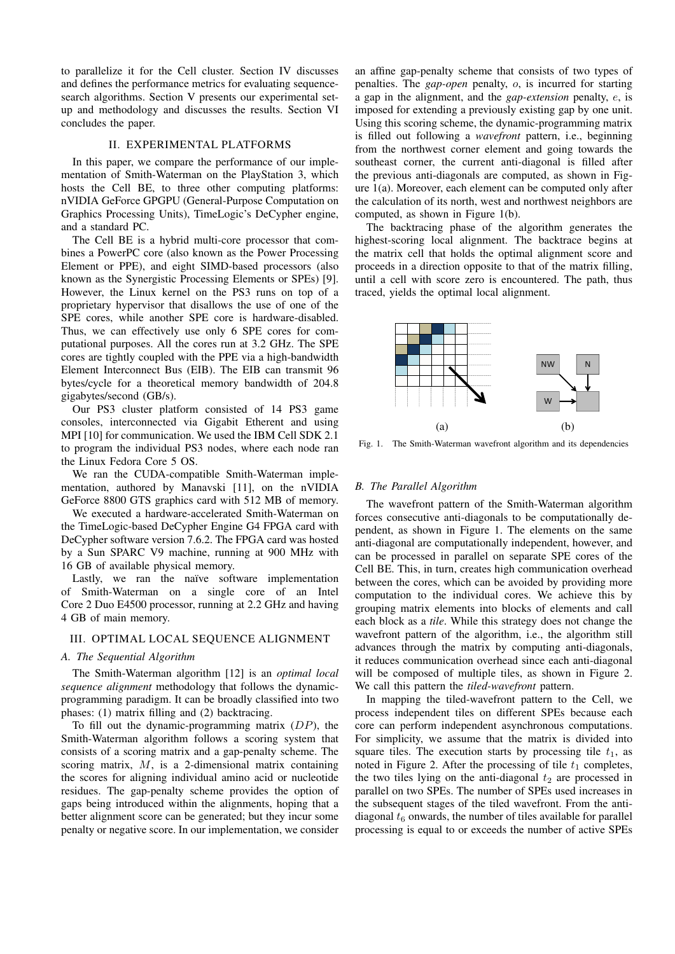to parallelize it for the Cell cluster. Section IV discusses and defines the performance metrics for evaluating sequencesearch algorithms. Section V presents our experimental setup and methodology and discusses the results. Section VI concludes the paper.

## II. EXPERIMENTAL PLATFORMS

In this paper, we compare the performance of our implementation of Smith-Waterman on the PlayStation 3, which hosts the Cell BE, to three other computing platforms: nVIDIA GeForce GPGPU (General-Purpose Computation on Graphics Processing Units), TimeLogic's DeCypher engine, and a standard PC.

The Cell BE is a hybrid multi-core processor that combines a PowerPC core (also known as the Power Processing Element or PPE), and eight SIMD-based processors (also known as the Synergistic Processing Elements or SPEs) [9]. However, the Linux kernel on the PS3 runs on top of a proprietary hypervisor that disallows the use of one of the SPE cores, while another SPE core is hardware-disabled. Thus, we can effectively use only 6 SPE cores for computational purposes. All the cores run at 3.2 GHz. The SPE cores are tightly coupled with the PPE via a high-bandwidth Element Interconnect Bus (EIB). The EIB can transmit 96 bytes/cycle for a theoretical memory bandwidth of 204.8 gigabytes/second (GB/s).

Our PS3 cluster platform consisted of 14 PS3 game consoles, interconnected via Gigabit Etherent and using MPI [10] for communication. We used the IBM Cell SDK 2.1 to program the individual PS3 nodes, where each node ran the Linux Fedora Core 5 OS.

We ran the CUDA-compatible Smith-Waterman implementation, authored by Manavski [11], on the nVIDIA GeForce 8800 GTS graphics card with 512 MB of memory.

We executed a hardware-accelerated Smith-Waterman on the TimeLogic-based DeCypher Engine G4 FPGA card with DeCypher software version 7.6.2. The FPGA card was hosted by a Sun SPARC V9 machine, running at 900 MHz with 16 GB of available physical memory.

Lastly, we ran the naïve software implementation of Smith-Waterman on a single core of an Intel Core 2 Duo E4500 processor, running at 2.2 GHz and having 4 GB of main memory.

# III. OPTIMAL LOCAL SEQUENCE ALIGNMENT

#### *A. The Sequential Algorithm*

The Smith-Waterman algorithm [12] is an *optimal local sequence alignment* methodology that follows the dynamicprogramming paradigm. It can be broadly classified into two phases: (1) matrix filling and (2) backtracing.

To fill out the dynamic-programming matrix  $(DP)$ , the Smith-Waterman algorithm follows a scoring system that consists of a scoring matrix and a gap-penalty scheme. The scoring matrix, M, is a 2-dimensional matrix containing the scores for aligning individual amino acid or nucleotide residues. The gap-penalty scheme provides the option of gaps being introduced within the alignments, hoping that a better alignment score can be generated; but they incur some penalty or negative score. In our implementation, we consider

an affine gap-penalty scheme that consists of two types of penalties. The *gap-open* penalty, o, is incurred for starting a gap in the alignment, and the *gap-extension* penalty, e, is imposed for extending a previously existing gap by one unit. Using this scoring scheme, the dynamic-programming matrix is filled out following a *wavefront* pattern, i.e., beginning from the northwest corner element and going towards the southeast corner, the current anti-diagonal is filled after the previous anti-diagonals are computed, as shown in Figure 1(a). Moreover, each element can be computed only after the calculation of its north, west and northwest neighbors are computed, as shown in Figure 1(b).

The backtracing phase of the algorithm generates the highest-scoring local alignment. The backtrace begins at the matrix cell that holds the optimal alignment score and proceeds in a direction opposite to that of the matrix filling, until a cell with score zero is encountered. The path, thus traced, yields the optimal local alignment.



Fig. 1. The Smith-Waterman wavefront algorithm and its dependencies

## *B. The Parallel Algorithm*

The wavefront pattern of the Smith-Waterman algorithm forces consecutive anti-diagonals to be computationally dependent, as shown in Figure 1. The elements on the same anti-diagonal are computationally independent, however, and can be processed in parallel on separate SPE cores of the Cell BE. This, in turn, creates high communication overhead between the cores, which can be avoided by providing more computation to the individual cores. We achieve this by grouping matrix elements into blocks of elements and call each block as a *tile*. While this strategy does not change the wavefront pattern of the algorithm, i.e., the algorithm still advances through the matrix by computing anti-diagonals, it reduces communication overhead since each anti-diagonal will be composed of multiple tiles, as shown in Figure 2. We call this pattern the *tiled-wavefront* pattern.

In mapping the tiled-wavefront pattern to the Cell, we process independent tiles on different SPEs because each core can perform independent asynchronous computations. For simplicity, we assume that the matrix is divided into square tiles. The execution starts by processing tile  $t_1$ , as noted in Figure 2. After the processing of tile  $t_1$  completes, the two tiles lying on the anti-diagonal  $t_2$  are processed in parallel on two SPEs. The number of SPEs used increases in the subsequent stages of the tiled wavefront. From the antidiagonal  $t<sub>6</sub>$  onwards, the number of tiles available for parallel processing is equal to or exceeds the number of active SPEs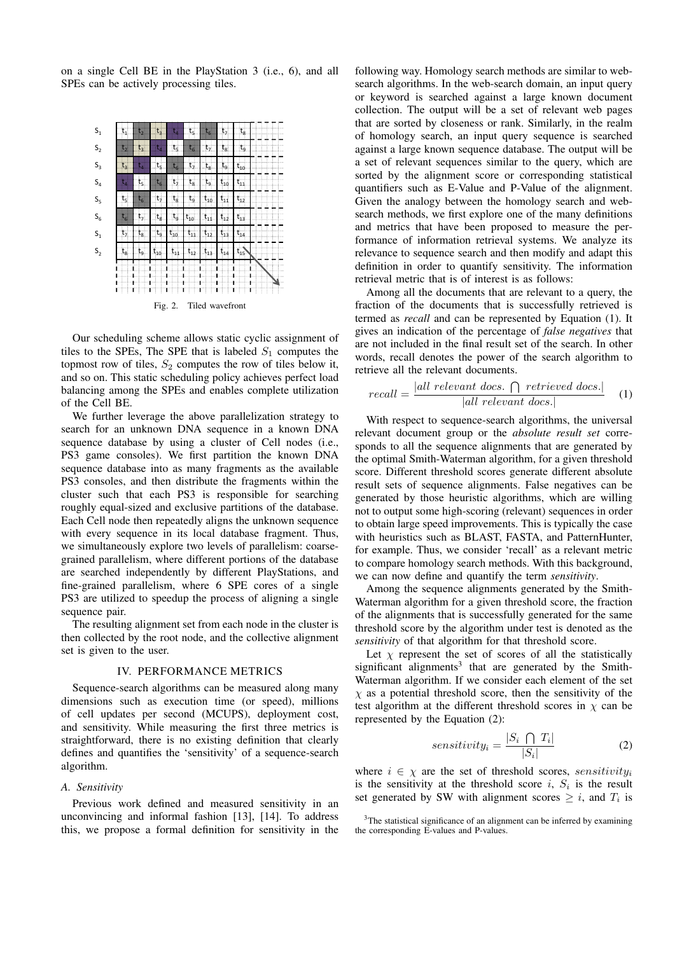on a single Cell BE in the PlayStation 3 (i.e., 6), and all SPEs can be actively processing tiles.



Our scheduling scheme allows static cyclic assignment of tiles to the SPEs, The SPE that is labeled  $S_1$  computes the topmost row of tiles,  $S_2$  computes the row of tiles below it, and so on. This static scheduling policy achieves perfect load balancing among the SPEs and enables complete utilization of the Cell BE.

We further leverage the above parallelization strategy to search for an unknown DNA sequence in a known DNA sequence database by using a cluster of Cell nodes (i.e., PS3 game consoles). We first partition the known DNA sequence database into as many fragments as the available PS3 consoles, and then distribute the fragments within the cluster such that each PS3 is responsible for searching roughly equal-sized and exclusive partitions of the database. Each Cell node then repeatedly aligns the unknown sequence with every sequence in its local database fragment. Thus, we simultaneously explore two levels of parallelism: coarsegrained parallelism, where different portions of the database are searched independently by different PlayStations, and fine-grained parallelism, where 6 SPE cores of a single PS3 are utilized to speedup the process of aligning a single sequence pair.

The resulting alignment set from each node in the cluster is then collected by the root node, and the collective alignment set is given to the user.

### IV. PERFORMANCE METRICS

Sequence-search algorithms can be measured along many dimensions such as execution time (or speed), millions of cell updates per second (MCUPS), deployment cost, and sensitivity. While measuring the first three metrics is straightforward, there is no existing definition that clearly defines and quantifies the 'sensitivity' of a sequence-search algorithm.

## *A. Sensitivity*

Previous work defined and measured sensitivity in an unconvincing and informal fashion [13], [14]. To address this, we propose a formal definition for sensitivity in the following way. Homology search methods are similar to websearch algorithms. In the web-search domain, an input query or keyword is searched against a large known document collection. The output will be a set of relevant web pages that are sorted by closeness or rank. Similarly, in the realm of homology search, an input query sequence is searched against a large known sequence database. The output will be a set of relevant sequences similar to the query, which are sorted by the alignment score or corresponding statistical quantifiers such as E-Value and P-Value of the alignment. Given the analogy between the homology search and websearch methods, we first explore one of the many definitions and metrics that have been proposed to measure the performance of information retrieval systems. We analyze its relevance to sequence search and then modify and adapt this definition in order to quantify sensitivity. The information retrieval metric that is of interest is as follows:

Among all the documents that are relevant to a query, the fraction of the documents that is successfully retrieved is termed as *recall* and can be represented by Equation (1). It gives an indication of the percentage of *false negatives* that are not included in the final result set of the search. In other words, recall denotes the power of the search algorithm to retrieve all the relevant documents.

$$
recall = \frac{|all\ relevant\ docs.\ \bigcap\ retrieval\ docs.|}{|all\ relevant\ docs.|} \tag{1}
$$

With respect to sequence-search algorithms, the universal relevant document group or the *absolute result set* corresponds to all the sequence alignments that are generated by the optimal Smith-Waterman algorithm, for a given threshold score. Different threshold scores generate different absolute result sets of sequence alignments. False negatives can be generated by those heuristic algorithms, which are willing not to output some high-scoring (relevant) sequences in order to obtain large speed improvements. This is typically the case with heuristics such as BLAST, FASTA, and PatternHunter, for example. Thus, we consider 'recall' as a relevant metric to compare homology search methods. With this background, we can now define and quantify the term *sensitivity*.

Among the sequence alignments generated by the Smith-Waterman algorithm for a given threshold score, the fraction of the alignments that is successfully generated for the same threshold score by the algorithm under test is denoted as the *sensitivity* of that algorithm for that threshold score.

Let  $\chi$  represent the set of scores of all the statistically significant alignments<sup>3</sup> that are generated by the Smith-Waterman algorithm. If we consider each element of the set  $\chi$  as a potential threshold score, then the sensitivity of the test algorithm at the different threshold scores in  $\chi$  can be represented by the Equation (2):

$$
sensitivity_i = \frac{|S_i \cap T_i|}{|S_i|} \tag{2}
$$

where  $i \in \chi$  are the set of threshold scores, sensitivity<sub>i</sub> is the sensitivity at the threshold score  $i$ ,  $S_i$  is the result set generated by SW with alignment scores  $\geq i$ , and  $T_i$  is

<sup>&</sup>lt;sup>3</sup>The statistical significance of an alignment can be inferred by examining the corresponding E-values and P-values.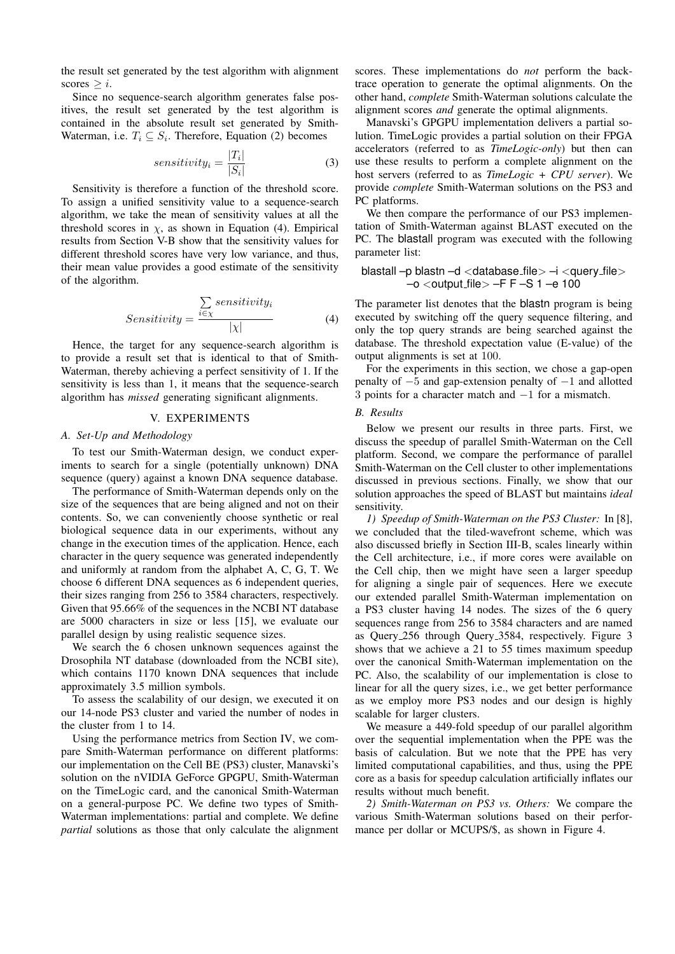the result set generated by the test algorithm with alignment scores  $\geq i$ .

Since no sequence-search algorithm generates false positives, the result set generated by the test algorithm is contained in the absolute result set generated by Smith-Waterman, i.e.  $T_i \subseteq S_i$ . Therefore, Equation (2) becomes

$$
sensitivity_i = \frac{|T_i|}{|S_i|} \tag{3}
$$

Sensitivity is therefore a function of the threshold score. To assign a unified sensitivity value to a sequence-search algorithm, we take the mean of sensitivity values at all the threshold scores in  $\chi$ , as shown in Equation (4). Empirical results from Section V-B show that the sensitivity values for different threshold scores have very low variance, and thus, their mean value provides a good estimate of the sensitivity of the algorithm.

$$
Sensitivity = \frac{\sum_{i \in \chi} sensitivity_i}{|\chi|} \tag{4}
$$

Hence, the target for any sequence-search algorithm is to provide a result set that is identical to that of Smith-Waterman, thereby achieving a perfect sensitivity of 1. If the sensitivity is less than 1, it means that the sequence-search algorithm has *missed* generating significant alignments.

# V. EXPERIMENTS

# *A. Set-Up and Methodology*

To test our Smith-Waterman design, we conduct experiments to search for a single (potentially unknown) DNA sequence (query) against a known DNA sequence database.

The performance of Smith-Waterman depends only on the size of the sequences that are being aligned and not on their contents. So, we can conveniently choose synthetic or real biological sequence data in our experiments, without any change in the execution times of the application. Hence, each character in the query sequence was generated independently and uniformly at random from the alphabet A, C, G, T. We choose 6 different DNA sequences as 6 independent queries, their sizes ranging from 256 to 3584 characters, respectively. Given that 95.66% of the sequences in the NCBI NT database are 5000 characters in size or less [15], we evaluate our parallel design by using realistic sequence sizes.

We search the 6 chosen unknown sequences against the Drosophila NT database (downloaded from the NCBI site), which contains 1170 known DNA sequences that include approximately 3.5 million symbols.

To assess the scalability of our design, we executed it on our 14-node PS3 cluster and varied the number of nodes in the cluster from 1 to 14.

Using the performance metrics from Section IV, we compare Smith-Waterman performance on different platforms: our implementation on the Cell BE (PS3) cluster, Manavski's solution on the nVIDIA GeForce GPGPU, Smith-Waterman on the TimeLogic card, and the canonical Smith-Waterman on a general-purpose PC. We define two types of Smith-Waterman implementations: partial and complete. We define *partial* solutions as those that only calculate the alignment scores. These implementations do *not* perform the backtrace operation to generate the optimal alignments. On the other hand, *complete* Smith-Waterman solutions calculate the alignment scores *and* generate the optimal alignments.

Manavski's GPGPU implementation delivers a partial solution. TimeLogic provides a partial solution on their FPGA accelerators (referred to as *TimeLogic-only*) but then can use these results to perform a complete alignment on the host servers (referred to as *TimeLogic + CPU server*). We provide *complete* Smith-Waterman solutions on the PS3 and PC platforms.

We then compare the performance of our PS3 implementation of Smith-Waterman against BLAST executed on the PC. The blastall program was executed with the following parameter list:

# blastall –p blastn –d <database file> –i <query file>  $-$ o  $\lt$ output\_file $>$  $-$ F F $-$ S 1 $-$ e 100

The parameter list denotes that the blastn program is being executed by switching off the query sequence filtering, and only the top query strands are being searched against the database. The threshold expectation value (E-value) of the output alignments is set at 100.

For the experiments in this section, we chose a gap-open penalty of −5 and gap-extension penalty of −1 and allotted 3 points for a character match and −1 for a mismatch.

#### *B. Results*

Below we present our results in three parts. First, we discuss the speedup of parallel Smith-Waterman on the Cell platform. Second, we compare the performance of parallel Smith-Waterman on the Cell cluster to other implementations discussed in previous sections. Finally, we show that our solution approaches the speed of BLAST but maintains *ideal* sensitivity.

*1) Speedup of Smith-Waterman on the PS3 Cluster:* In [8], we concluded that the tiled-wavefront scheme, which was also discussed briefly in Section III-B, scales linearly within the Cell architecture, i.e., if more cores were available on the Cell chip, then we might have seen a larger speedup for aligning a single pair of sequences. Here we execute our extended parallel Smith-Waterman implementation on a PS3 cluster having 14 nodes. The sizes of the 6 query sequences range from 256 to 3584 characters and are named as Query 256 through Query 3584, respectively. Figure 3 shows that we achieve a 21 to 55 times maximum speedup over the canonical Smith-Waterman implementation on the PC. Also, the scalability of our implementation is close to linear for all the query sizes, i.e., we get better performance as we employ more PS3 nodes and our design is highly scalable for larger clusters.

We measure a 449-fold speedup of our parallel algorithm over the sequential implementation when the PPE was the basis of calculation. But we note that the PPE has very limited computational capabilities, and thus, using the PPE core as a basis for speedup calculation artificially inflates our results without much benefit.

*2) Smith-Waterman on PS3 vs. Others:* We compare the various Smith-Waterman solutions based on their performance per dollar or MCUPS/\$, as shown in Figure 4.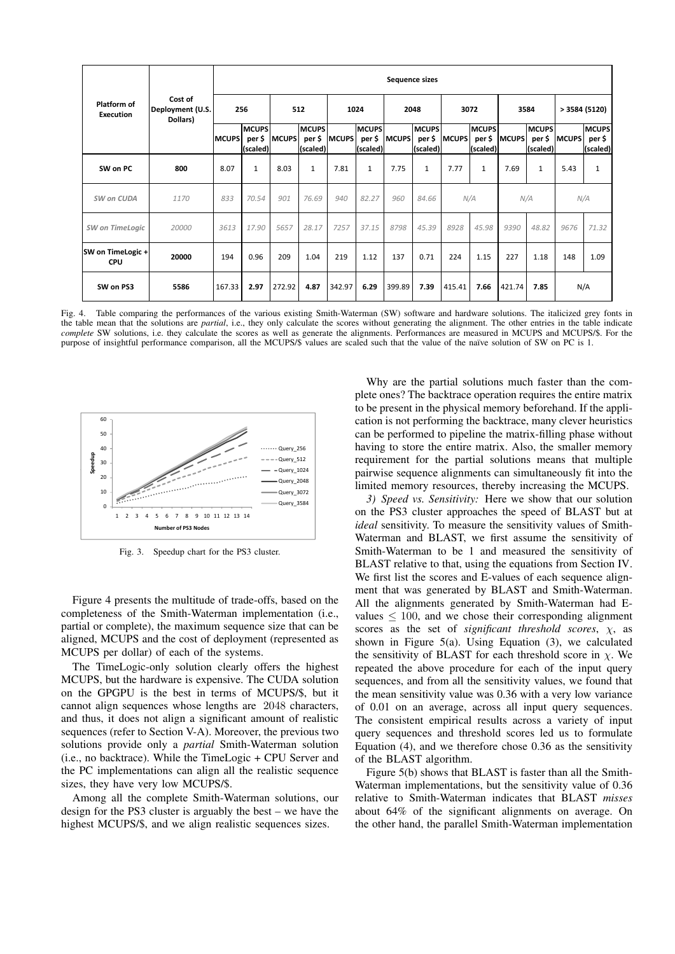| Platform of<br>Execution | Cost of<br>Deployment (U.S.<br>Dollars) | Sequence sizes |                                    |              |                                    |              |                                    |              |                                    |              |                                    |              |                                    |               |                                    |  |
|--------------------------|-----------------------------------------|----------------|------------------------------------|--------------|------------------------------------|--------------|------------------------------------|--------------|------------------------------------|--------------|------------------------------------|--------------|------------------------------------|---------------|------------------------------------|--|
|                          |                                         | 256            |                                    | 512          |                                    | 1024         |                                    | 2048         |                                    | 3072         |                                    | 3584         |                                    | > 3584 (5120) |                                    |  |
|                          |                                         | <b>MCUPS</b>   | <b>MCUPS</b><br>per \$<br>(scaled) | <b>MCUPS</b> | <b>MCUPS</b><br>per \$<br>(scaled) | <b>MCUPS</b> | <b>MCUPS</b><br>per \$<br>(scaled) | <b>MCUPS</b> | <b>MCUPS</b><br>per \$<br>(scaled) | <b>MCUPS</b> | <b>MCUPS</b><br>per \$<br>(scaled) | <b>MCUPS</b> | <b>MCUPS</b><br>per \$<br>(scaled) | <b>MCUPS</b>  | <b>MCUPS</b><br>per \$<br>(scaled) |  |
| SW on PC                 | 800                                     | 8.07           | 1                                  | 8.03         | 1                                  | 7.81         | $\mathbf{1}$                       | 7.75         | $\mathbf{1}$                       | 7.77         | 1                                  | 7.69         | $\mathbf{1}$                       | 5.43          | 1                                  |  |
| SW on CUDA               | 1170                                    | 833            | 70.54                              | 901          | 76.69                              | 940          | 82.27                              | 960          | 84.66                              | N/A          |                                    | N/A          |                                    | N/A           |                                    |  |
| <b>SW</b> on TimeLogic   | 20000                                   | 3613           | 17.90                              | 5657         | 28.17                              | 7257         | 37.15                              | 8798         | 45.39                              | 8928         | 45.98                              | 9390         | 48.82                              | 9676          | 71.32                              |  |
| SW on TimeLogic +<br>CPU | 20000                                   | 194            | 0.96                               | 209          | 1.04                               | 219          | 1.12                               | 137          | 0.71                               | 224          | 1.15                               | 227          | 1.18                               | 148           | 1.09                               |  |
| SW on PS3                | 5586                                    | 167.33         | 2.97                               | 272.92       | 4.87                               | 342.97       | 6.29                               | 399.89       | 7.39                               | 415.41       | 7.66                               | 421.74       | 7.85                               | N/A           |                                    |  |

Fig. 4. Table comparing the performances of the various existing Smith-Waterman (SW) software and hardware solutions. The italicized grey fonts in the table mean that the solutions are *partial*, i.e., they only calculate the scores without generating the alignment. The other entries in the table indicate *complete* SW solutions, i.e. they calculate the scores as well as generate the alignments. Performances are measured in MCUPS and MCUPS/\$. For the purpose of insightful performance comparison, all the MCUPS/\$ values are scaled such that the value of the naïve solution of SW on PC is 1.



Fig. 3. Speedup chart for the PS3 cluster.

Figure 4 presents the multitude of trade-offs, based on the completeness of the Smith-Waterman implementation (i.e., partial or complete), the maximum sequence size that can be aligned, MCUPS and the cost of deployment (represented as MCUPS per dollar) of each of the systems.

The TimeLogic-only solution clearly offers the highest MCUPS, but the hardware is expensive. The CUDA solution on the GPGPU is the best in terms of MCUPS/\$, but it cannot align sequences whose lengths are 2048 characters, and thus, it does not align a significant amount of realistic sequences (refer to Section V-A). Moreover, the previous two solutions provide only a *partial* Smith-Waterman solution (i.e., no backtrace). While the TimeLogic + CPU Server and the PC implementations can align all the realistic sequence sizes, they have very low MCUPS/\$.

Among all the complete Smith-Waterman solutions, our design for the PS3 cluster is arguably the best – we have the highest MCUPS/\$, and we align realistic sequences sizes.

Why are the partial solutions much faster than the complete ones? The backtrace operation requires the entire matrix to be present in the physical memory beforehand. If the application is not performing the backtrace, many clever heuristics can be performed to pipeline the matrix-filling phase without having to store the entire matrix. Also, the smaller memory requirement for the partial solutions means that multiple pairwise sequence alignments can simultaneously fit into the limited memory resources, thereby increasing the MCUPS.

*3) Speed vs. Sensitivity:* Here we show that our solution on the PS3 cluster approaches the speed of BLAST but at *ideal* sensitivity. To measure the sensitivity values of Smith-Waterman and BLAST, we first assume the sensitivity of Smith-Waterman to be 1 and measured the sensitivity of BLAST relative to that, using the equations from Section IV. We first list the scores and E-values of each sequence alignment that was generated by BLAST and Smith-Waterman. All the alignments generated by Smith-Waterman had Evalues  $\leq 100$ , and we chose their corresponding alignment scores as the set of *significant threshold scores*, χ, as shown in Figure 5(a). Using Equation (3), we calculated the sensitivity of BLAST for each threshold score in  $\chi$ . We repeated the above procedure for each of the input query sequences, and from all the sensitivity values, we found that the mean sensitivity value was 0.36 with a very low variance of 0.01 on an average, across all input query sequences. The consistent empirical results across a variety of input query sequences and threshold scores led us to formulate Equation (4), and we therefore chose 0.36 as the sensitivity of the BLAST algorithm.

Figure 5(b) shows that BLAST is faster than all the Smith-Waterman implementations, but the sensitivity value of 0.36 relative to Smith-Waterman indicates that BLAST *misses* about 64% of the significant alignments on average. On the other hand, the parallel Smith-Waterman implementation